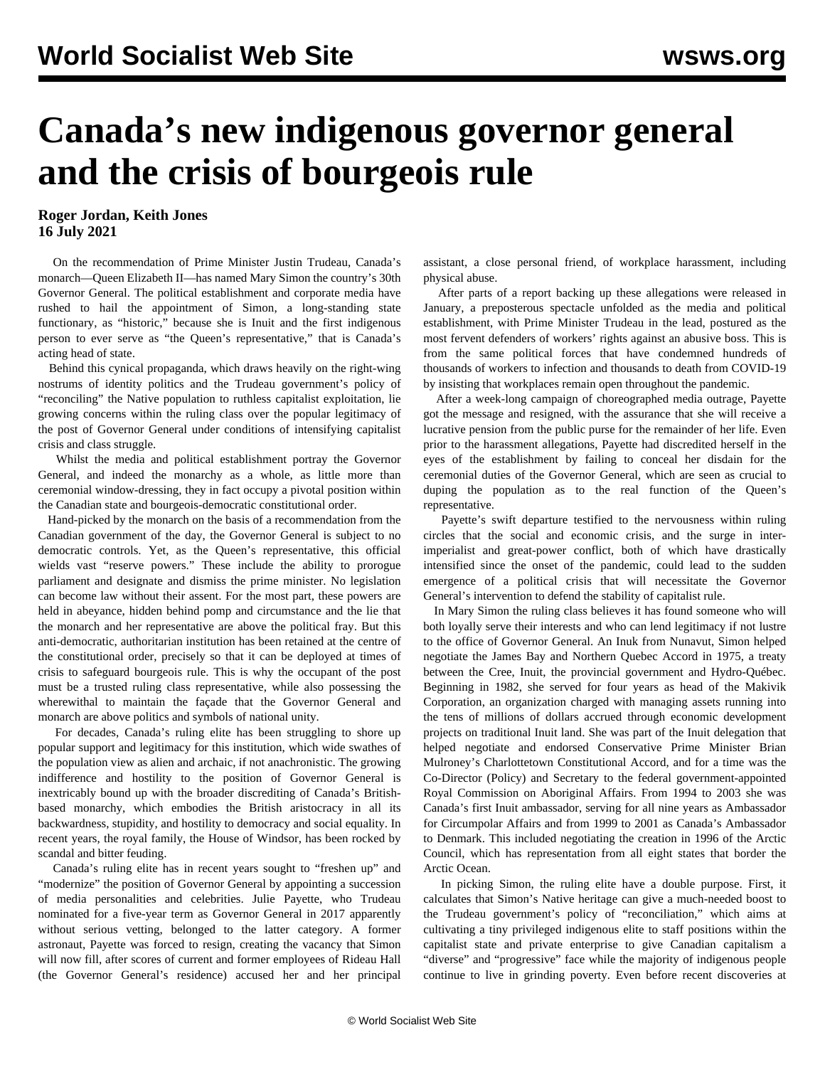## **Canada's new indigenous governor general and the crisis of bourgeois rule**

## **Roger Jordan, Keith Jones 16 July 2021**

 On the recommendation of Prime Minister Justin Trudeau, Canada's monarch—Queen Elizabeth II—has named Mary Simon the country's 30th Governor General. The political establishment and corporate media have rushed to hail the appointment of Simon, a long-standing state functionary, as "historic," because she is Inuit and the first indigenous person to ever serve as "the Queen's representative," that is Canada's acting head of state.

 Behind this cynical propaganda, which draws heavily on the right-wing nostrums of identity politics and the Trudeau government's policy of "reconciling" the Native population to ruthless capitalist exploitation, lie growing concerns within the ruling class over the popular legitimacy of the post of Governor General under conditions of intensifying capitalist crisis and class struggle.

 Whilst the media and political establishment portray the Governor General, and indeed the monarchy as a whole, as little more than ceremonial window-dressing, they in fact occupy a pivotal position within the Canadian state and bourgeois-democratic constitutional order.

 Hand-picked by the monarch on the basis of a recommendation from the Canadian government of the day, the Governor General is subject to no democratic controls. Yet, as the Queen's representative, this official wields vast "reserve powers." These include the ability to prorogue parliament and designate and dismiss the prime minister. No legislation can become law without their assent. For the most part, these powers are held in abeyance, hidden behind pomp and circumstance and the lie that the monarch and her representative are above the political fray. But this anti-democratic, authoritarian institution has been retained at the centre of the constitutional order, precisely so that it can be deployed at times of crisis to safeguard bourgeois rule. This is why the occupant of the post must be a trusted ruling class representative, while also possessing the wherewithal to maintain the façade that the Governor General and monarch are above politics and symbols of national unity.

 For decades, Canada's ruling elite has been struggling to shore up popular support and legitimacy for this institution, which wide swathes of the population view as alien and archaic, if not anachronistic. The growing indifference and hostility to the position of Governor General is inextricably bound up with the broader discrediting of Canada's Britishbased monarchy, which embodies the British aristocracy in all its backwardness, stupidity, and hostility to democracy and social equality. In recent years, the royal family, the House of Windsor, has been rocked by scandal and bitter feuding.

 Canada's ruling elite has in recent years sought to "freshen up" and "modernize" the position of Governor General by appointing a succession of media personalities and celebrities. Julie Payette, who Trudeau nominated for a five-year term as Governor General in 2017 apparently without serious vetting, belonged to the latter category. A former astronaut, Payette was forced to resign, creating the vacancy that Simon will now fill, after scores of current and former employees of Rideau Hall (the Governor General's residence) accused her and her principal assistant, a close personal friend, of workplace harassment, including physical abuse.

 After parts of a report backing up these allegations were released in January, a preposterous spectacle unfolded as the media and political establishment, with Prime Minister Trudeau in the lead, postured as the most fervent defenders of workers' rights against an abusive boss. This is from the same political forces that have condemned hundreds of thousands of workers to infection and thousands to death from COVID-19 by insisting that workplaces remain open throughout the pandemic.

 After a week-long campaign of choreographed media outrage, Payette got the message and resigned, with the assurance that she will receive a lucrative pension from the public purse for the remainder of her life. Even prior to the harassment allegations, Payette had discredited herself in the eyes of the establishment by failing to conceal her disdain for the ceremonial duties of the Governor General, which are seen as crucial to duping the population as to the real function of the Queen's representative.

 Payette's swift departure testified to the nervousness within ruling circles that the social and economic crisis, and the surge in interimperialist and great-power conflict, both of which have drastically intensified since the onset of the pandemic, could lead to the sudden emergence of a political crisis that will necessitate the Governor General's intervention to defend the stability of capitalist rule.

 In Mary Simon the ruling class believes it has found someone who will both loyally serve their interests and who can lend legitimacy if not lustre to the office of Governor General. An Inuk from Nunavut, Simon helped negotiate the James Bay and Northern Quebec Accord in 1975, a treaty between the Cree, Inuit, the provincial government and Hydro-Québec. Beginning in 1982, she served for four years as head of the Makivik Corporation, an organization charged with managing assets running into the tens of millions of dollars accrued through economic development projects on traditional Inuit land. She was part of the Inuit delegation that helped negotiate and endorsed Conservative Prime Minister Brian Mulroney's Charlottetown Constitutional Accord, and for a time was the Co-Director (Policy) and Secretary to the federal government-appointed Royal Commission on Aboriginal Affairs. From 1994 to 2003 she was Canada's first Inuit ambassador, serving for all nine years as Ambassador for Circumpolar Affairs and from 1999 to 2001 as Canada's Ambassador to Denmark. This included negotiating the creation in 1996 of the Arctic Council, which has representation from all eight states that border the Arctic Ocean.

 In picking Simon, the ruling elite have a double purpose. First, it calculates that Simon's Native heritage can give a much-needed boost to the Trudeau government's policy of "reconciliation," which aims at cultivating a tiny privileged indigenous elite to staff positions within the capitalist state and private enterprise to give Canadian capitalism a "diverse" and "progressive" face while the majority of indigenous people continue to live in grinding poverty. Even before recent discoveries at